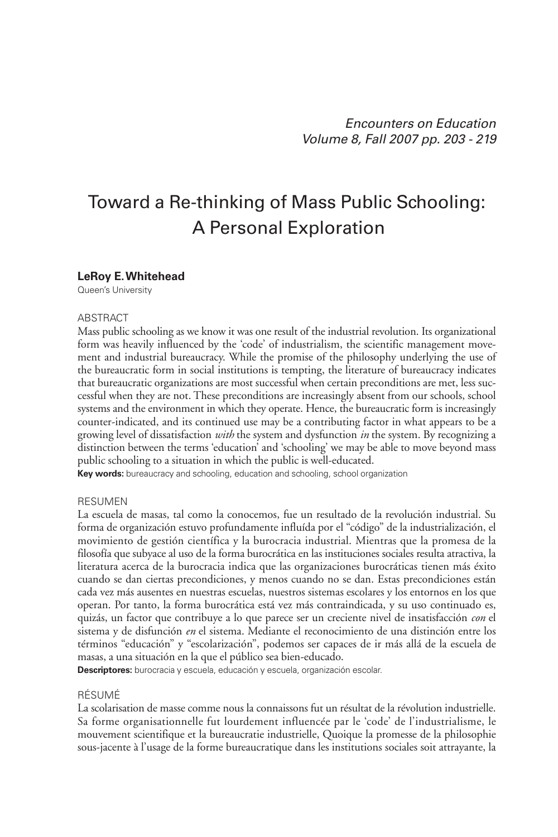# Toward a Re-thinking of Mass Public Schooling: A Personal Exploration

#### **LeRoy E.Whitehead**

Queen's University

#### **ARSTRACT**

Mass public schooling as we know it was one result of the industrial revolution. Its organizational form was heavily influenced by the 'code' of industrialism, the scientific management movement and industrial bureaucracy. While the promise of the philosophy underlying the use of the bureaucratic form in social institutions is tempting, the literature of bureaucracy indicates that bureaucratic organizations are most successful when certain preconditions are met, less successful when they are not. These preconditions are increasingly absent from our schools, school systems and the environment in which they operate. Hence, the bureaucratic form is increasingly counter-indicated, and its continued use may be a contributing factor in what appears to be a growing level of dissatisfaction *with* the system and dysfunction *in* the system. By recognizing a distinction between the terms 'education' and 'schooling' we may be able to move beyond mass public schooling to a situation in which the public is well-educated.

**Key words:** bureaucracy and schooling, education and schooling, school organization

#### RESUMEN

La escuela de masas, tal como la conocemos, fue un resultado de la revolución industrial. Su forma de organización estuvo profundamente influída por el "código" de la industrialización, el movimiento de gestión científica y la burocracia industrial. Mientras que la promesa de la filosofía que subyace al uso de la forma burocrática en las instituciones sociales resulta atractiva, la literatura acerca de la burocracia indica que las organizaciones burocráticas tienen más éxito cuando se dan ciertas precondiciones, y menos cuando no se dan. Estas precondiciones están cada vez más ausentes en nuestras escuelas, nuestros sistemas escolares y los entornos en los que operan. Por tanto, la forma burocrática está vez más contraindicada, y su uso continuado es, quizás, un factor que contribuye a lo que parece ser un creciente nivel de insatisfacción *con* el sistema y de disfunción *en* el sistema. Mediante el reconocimiento de una distinción entre los términos "educación" y "escolarización", podemos ser capaces de ir más allá de la escuela de masas, a una situación en la que el público sea bien-educado.

**Descriptores:** burocracia y escuela, educación y escuela, organización escolar.

#### RÉSUMÉ

La scolarisation de masse comme nous la connaissons fut un résultat de la révolution industrielle. Sa forme organisationnelle fut lourdement influencée par le 'code' de l'industrialisme, le mouvement scientifique et la bureaucratie industrielle, Quoique la promesse de la philosophie sous-jacente à l'usage de la forme bureaucratique dans les institutions sociales soit attrayante, la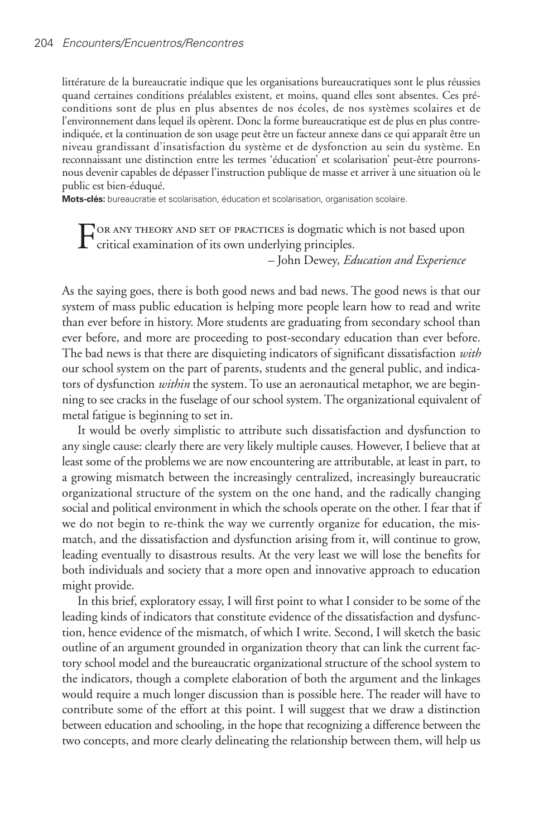littérature de la bureaucratie indique que les organisations bureaucratiques sont le plus réussies quand certaines conditions préalables existent, et moins, quand elles sont absentes. Ces préconditions sont de plus en plus absentes de nos écoles, de nos systèmes scolaires et de l'environnement dans lequel ils opèrent. Donc la forme bureaucratique est de plus en plus contreindiquée, et la continuation de son usage peut être un facteur annexe dans ce qui apparaît être un niveau grandissant d'insatisfaction du système et de dysfonction au sein du système. En reconnaissant une distinction entre les termes 'éducation' et scolarisation' peut-être pourronsnous devenir capables de dépasser l'instruction publique de masse et arriver à une situation où le public est bien-éduqué.

**Mots-clés:** bureaucratie et scolarisation, éducation et scolarisation, organisation scolaire.

FOR ANY THEORY AND SET OF PRACTICES is dogmatic which is not based upon<br>critical examination of its own underlying principles.

– John Dewey, *Education and Experience*

As the saying goes, there is both good news and bad news. The good news is that our system of mass public education is helping more people learn how to read and write than ever before in history. More students are graduating from secondary school than ever before, and more are proceeding to post-secondary education than ever before. The bad news is that there are disquieting indicators of significant dissatisfaction *with* our school system on the part of parents, students and the general public, and indicators of dysfunction *within* the system. To use an aeronautical metaphor, we are beginning to see cracks in the fuselage of our school system. The organizational equivalent of metal fatigue is beginning to set in.

It would be overly simplistic to attribute such dissatisfaction and dysfunction to any single cause: clearly there are very likely multiple causes. However, I believe that at least some of the problems we are now encountering are attributable, at least in part, to a growing mismatch between the increasingly centralized, increasingly bureaucratic organizational structure of the system on the one hand, and the radically changing social and political environment in which the schools operate on the other. I fear that if we do not begin to re-think the way we currently organize for education, the mismatch, and the dissatisfaction and dysfunction arising from it, will continue to grow, leading eventually to disastrous results. At the very least we will lose the benefits for both individuals and society that a more open and innovative approach to education might provide.

In this brief, exploratory essay, I will first point to what I consider to be some of the leading kinds of indicators that constitute evidence of the dissatisfaction and dysfunction, hence evidence of the mismatch, of which I write. Second, I will sketch the basic outline of an argument grounded in organization theory that can link the current factory school model and the bureaucratic organizational structure of the school system to the indicators, though a complete elaboration of both the argument and the linkages would require a much longer discussion than is possible here. The reader will have to contribute some of the effort at this point. I will suggest that we draw a distinction between education and schooling, in the hope that recognizing a difference between the two concepts, and more clearly delineating the relationship between them, will help us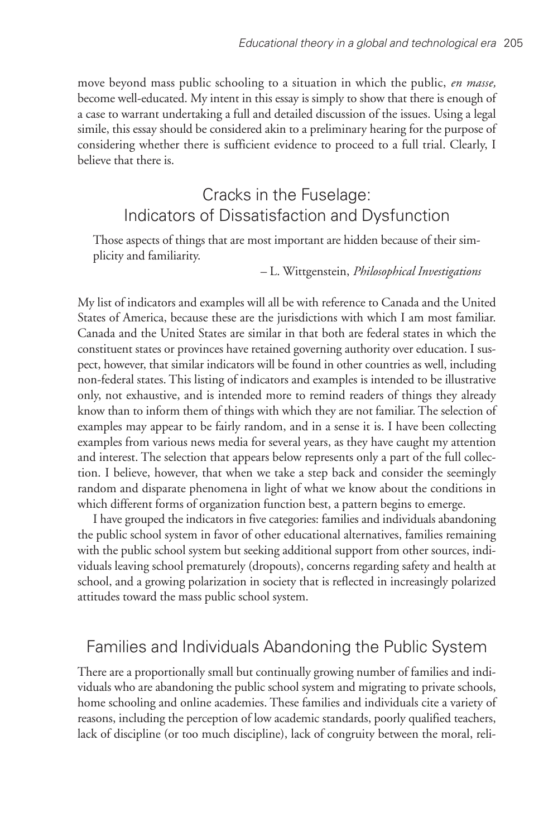move beyond mass public schooling to a situation in which the public, *en masse,* become well-educated. My intent in this essay is simply to show that there is enough of a case to warrant undertaking a full and detailed discussion of the issues. Using a legal simile, this essay should be considered akin to a preliminary hearing for the purpose of considering whether there is sufficient evidence to proceed to a full trial. Clearly, I believe that there is.

## Cracks in the Fuselage: Indicators of Dissatisfaction and Dysfunction

Those aspects of things that are most important are hidden because of their simplicity and familiarity.

– L. Wittgenstein, *Philosophical Investigations*

My list of indicators and examples will all be with reference to Canada and the United States of America, because these are the jurisdictions with which I am most familiar. Canada and the United States are similar in that both are federal states in which the constituent states or provinces have retained governing authority over education. I suspect, however, that similar indicators will be found in other countries as well, including non-federal states. This listing of indicators and examples is intended to be illustrative only, not exhaustive, and is intended more to remind readers of things they already know than to inform them of things with which they are not familiar. The selection of examples may appear to be fairly random, and in a sense it is. I have been collecting examples from various news media for several years, as they have caught my attention and interest. The selection that appears below represents only a part of the full collection. I believe, however, that when we take a step back and consider the seemingly random and disparate phenomena in light of what we know about the conditions in which different forms of organization function best, a pattern begins to emerge.

I have grouped the indicators in five categories: families and individuals abandoning the public school system in favor of other educational alternatives, families remaining with the public school system but seeking additional support from other sources, individuals leaving school prematurely (dropouts), concerns regarding safety and health at school, and a growing polarization in society that is reflected in increasingly polarized attitudes toward the mass public school system.

### Families and Individuals Abandoning the Public System

There are a proportionally small but continually growing number of families and individuals who are abandoning the public school system and migrating to private schools, home schooling and online academies. These families and individuals cite a variety of reasons, including the perception of low academic standards, poorly qualified teachers, lack of discipline (or too much discipline), lack of congruity between the moral, reli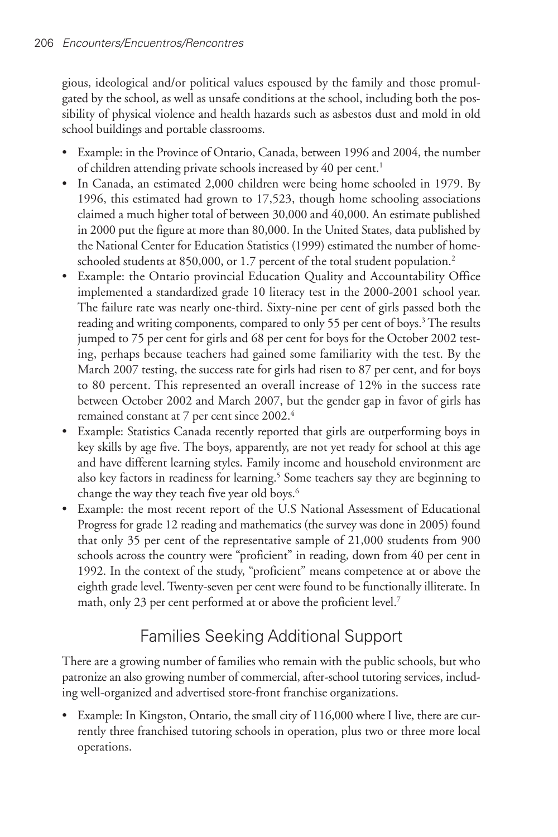gious, ideological and/or political values espoused by the family and those promulgated by the school, as well as unsafe conditions at the school, including both the possibility of physical violence and health hazards such as asbestos dust and mold in old school buildings and portable classrooms.

- Example: in the Province of Ontario, Canada, between 1996 and 2004, the number of children attending private schools increased by 40 per cent. 1
- In Canada, an estimated 2,000 children were being home schooled in 1979. By 1996, this estimated had grown to 17,523, though home schooling associations claimed a much higher total of between 30,000 and 40,000. An estimate published in 2000 put the figure at more than 80,000. In the United States, data published by the National Center for Education Statistics (1999) estimated the number of homeschooled students at 850,000, or 1.7 percent of the total student population. 2
- Example: the Ontario provincial Education Quality and Accountability Office implemented a standardized grade 10 literacy test in the 2000-2001 school year. The failure rate was nearly one-third. Sixty-nine per cent of girls passed both the reading and writing components, compared to only 55 per cent of boys. <sup>3</sup> The results jumped to 75 per cent for girls and 68 per cent for boys for the October 2002 testing, perhaps because teachers had gained some familiarity with the test. By the March 2007 testing, the success rate for girls had risen to 87 per cent, and for boys to 80 percent. This represented an overall increase of 12% in the success rate between October 2002 and March 2007, but the gender gap in favor of girls has remained constant at 7 per cent since 2002. 4
- Example: Statistics Canada recently reported that girls are outperforming boys in key skills by age five. The boys, apparently, are not yet ready for school at this age and have different learning styles. Family income and household environment are also key factors in readiness for learning. <sup>5</sup> Some teachers say they are beginning to change the way they teach five year old boys. 6
- Example: the most recent report of the U.S National Assessment of Educational Progress for grade 12 reading and mathematics (the survey was done in 2005) found that only 35 per cent of the representative sample of 21,000 students from 900 schools across the country were "proficient" in reading, down from 40 per cent in 1992. In the context of the study, "proficient" means competence at or above the eighth grade level. Twenty-seven per cent were found to be functionally illiterate. In math, only 23 per cent performed at or above the proficient level. 7

# Families Seeking Additional Support

There are a growing number of families who remain with the public schools, but who patronize an also growing number of commercial, after-school tutoring services, including well-organized and advertised store-front franchise organizations.

• Example: In Kingston, Ontario, the small city of 116,000 where I live, there are currently three franchised tutoring schools in operation, plus two or three more local operations.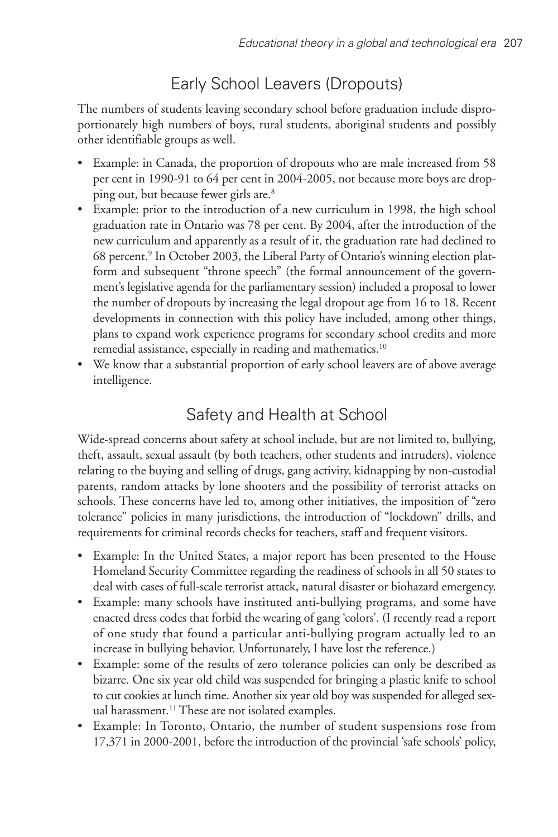# Early School Leavers (Dropouts)

The numbers of students leaving secondary school before graduation include disproportionately high numbers of boys, rural students, aboriginal students and possibly other identifiable groups as well.

- Example: in Canada, the proportion of dropouts who are male increased from 58 per cent in 1990-91 to 64 per cent in 2004-2005, not because more boys are dropping out, but because fewer girls are. 8
- Example: prior to the introduction of a new curriculum in 1998, the high school graduation rate in Ontario was 78 per cent. By 2004, after the introduction of the new curriculum and apparently as a result of it, the graduation rate had declined to 68 percent. <sup>9</sup> In October 2003, the Liberal Party of Ontario's winning election platform and subsequent "throne speech" (the formal announcement of the government's legislative agenda for the parliamentary session) included a proposal to lower the number of dropouts by increasing the legal dropout age from 16 to 18. Recent developments in connection with this policy have included, among other things, plans to expand work experience programs for secondary school credits and more remedial assistance, especially in reading and mathematics.<sup>10</sup>
- We know that a substantial proportion of early school leavers are of above average intelligence.

# Safety and Health at School

Wide-spread concerns about safety at school include, but are not limited to, bullying, theft, assault, sexual assault (by both teachers, other students and intruders), violence relating to the buying and selling of drugs, gang activity, kidnapping by non-custodial parents, random attacks by lone shooters and the possibility of terrorist attacks on schools. These concerns have led to, among other initiatives, the imposition of "zero tolerance" policies in many jurisdictions, the introduction of "lockdown" drills, and requirements for criminal records checks for teachers, staff and frequent visitors.

- Example: In the United States, a major report has been presented to the House Homeland Security Committee regarding the readiness of schools in all 50 states to deal with cases of full-scale terrorist attack, natural disaster or biohazard emergency.
- Example: many schools have instituted anti-bullying programs, and some have enacted dress codes that forbid the wearing of gang 'colors'. (I recently read a report of one study that found a particular anti-bullying program actually led to an increase in bullying behavior. Unfortunately, I have lost the reference.)
- Example: some of the results of zero tolerance policies can only be described as bizarre. One six year old child was suspended for bringing a plastic knife to school to cut cookies at lunch time. Another six year old boy was suspended for alleged sexual harassment. <sup>11</sup> These are not isolated examples.
- Example: In Toronto, Ontario, the number of student suspensions rose from 17,371 in 2000-2001, before the introduction of the provincial 'safe schools' policy,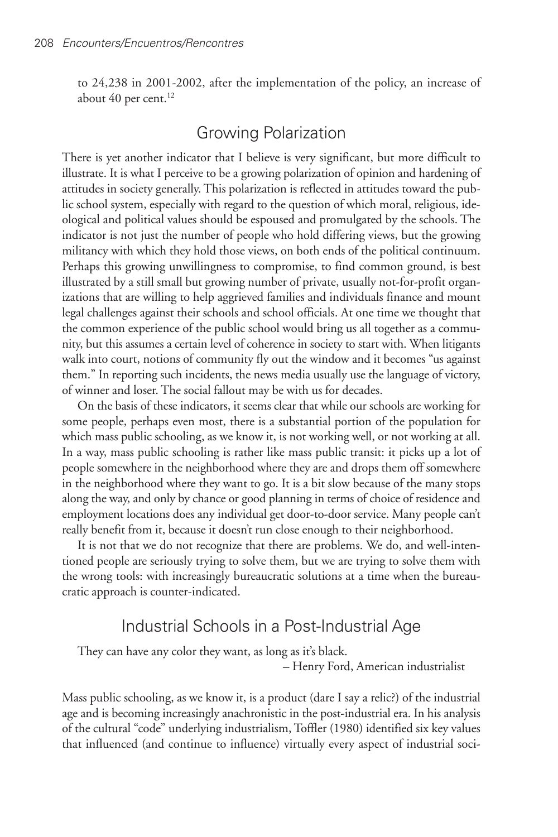to 24,238 in 2001-2002, after the implementation of the policy, an increase of about 40 per cent. 12

### Growing Polarization

There is yet another indicator that I believe is very significant, but more difficult to illustrate. It is what I perceive to be a growing polarization of opinion and hardening of attitudes in society generally. This polarization is reflected in attitudes toward the public school system, especially with regard to the question of which moral, religious, ideological and political values should be espoused and promulgated by the schools. The indicator is not just the number of people who hold differing views, but the growing militancy with which they hold those views, on both ends of the political continuum. Perhaps this growing unwillingness to compromise, to find common ground, is best illustrated by a still small but growing number of private, usually not-for-profit organizations that are willing to help aggrieved families and individuals finance and mount legal challenges against their schools and school officials. At one time we thought that the common experience of the public school would bring us all together as a community, but this assumes a certain level of coherence in society to start with. When litigants walk into court, notions of community fly out the window and it becomes "us against them." In reporting such incidents, the news media usually use the language of victory, of winner and loser. The social fallout may be with us for decades.

On the basis of these indicators, it seems clear that while our schools are working for some people, perhaps even most, there is a substantial portion of the population for which mass public schooling, as we know it, is not working well, or not working at all. In a way, mass public schooling is rather like mass public transit: it picks up a lot of people somewhere in the neighborhood where they are and drops them off somewhere in the neighborhood where they want to go. It is a bit slow because of the many stops along the way, and only by chance or good planning in terms of choice of residence and employment locations does any individual get door-to-door service. Many people can't really benefit from it, because it doesn't run close enough to their neighborhood.

It is not that we do not recognize that there are problems. We do, and well-intentioned people are seriously trying to solve them, but we are trying to solve them with the wrong tools: with increasingly bureaucratic solutions at a time when the bureaucratic approach is counter-indicated.

#### Industrial Schools in a Post-Industrial Age

They can have any color they want, as long as it's black.

– Henry Ford, American industrialist

Mass public schooling, as we know it, is a product (dare I say a relic?) of the industrial age and is becoming increasingly anachronistic in the post-industrial era. In his analysis of the cultural "code" underlying industrialism, Toffler (1980) identified six key values that influenced (and continue to influence) virtually every aspect of industrial soci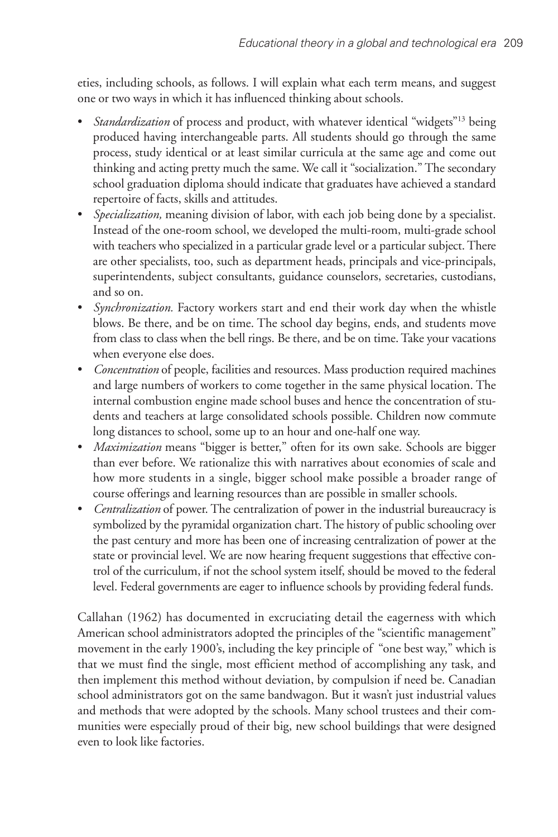eties, including schools, as follows. I will explain what each term means, and suggest one or two ways in which it has influenced thinking about schools.

- *Standardization* of process and product, with whatever identical "widgets"13 being produced having interchangeable parts. All students should go through the same process, study identical or at least similar curricula at the same age and come out thinking and acting pretty much the same. We call it "socialization." The secondary school graduation diploma should indicate that graduates have achieved a standard repertoire of facts, skills and attitudes.
- *Specialization,* meaning division of labor, with each job being done by a specialist. Instead of the one-room school, we developed the multi-room, multi-grade school with teachers who specialized in a particular grade level or a particular subject. There are other specialists, too, such as department heads, principals and vice-principals, superintendents, subject consultants, guidance counselors, secretaries, custodians, and so on.
- *Synchronization.* Factory workers start and end their work day when the whistle blows. Be there, and be on time. The school day begins, ends, and students move from class to class when the bell rings. Be there, and be on time. Take your vacations when everyone else does.
- *Concentration* of people, facilities and resources. Mass production required machines and large numbers of workers to come together in the same physical location. The internal combustion engine made school buses and hence the concentration of students and teachers at large consolidated schools possible. Children now commute long distances to school, some up to an hour and one-half one way.
- *Maximization* means "bigger is better," often for its own sake. Schools are bigger than ever before. We rationalize this with narratives about economies of scale and how more students in a single, bigger school make possible a broader range of course offerings and learning resources than are possible in smaller schools.
- *Centralization* of power. The centralization of power in the industrial bureaucracy is symbolized by the pyramidal organization chart. The history of public schooling over the past century and more has been one of increasing centralization of power at the state or provincial level. We are now hearing frequent suggestions that effective control of the curriculum, if not the school system itself, should be moved to the federal level. Federal governments are eager to influence schools by providing federal funds.

Callahan (1962) has documented in excruciating detail the eagerness with which American school administrators adopted the principles of the "scientific management" movement in the early 1900's, including the key principle of "one best way," which is that we must find the single, most efficient method of accomplishing any task, and then implement this method without deviation, by compulsion if need be. Canadian school administrators got on the same bandwagon. But it wasn't just industrial values and methods that were adopted by the schools. Many school trustees and their communities were especially proud of their big, new school buildings that were designed even to look like factories.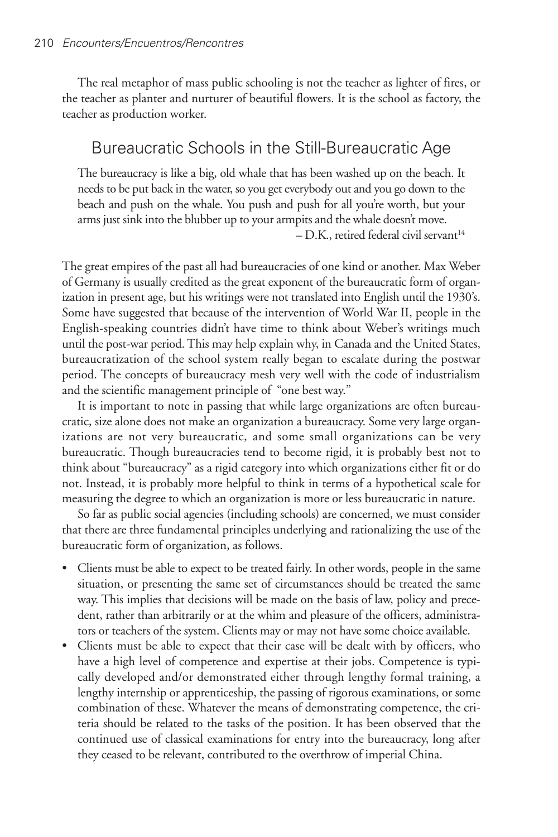The real metaphor of mass public schooling is not the teacher as lighter of fires, or the teacher as planter and nurturer of beautiful flowers. It is the school as factory, the teacher as production worker.

### Bureaucratic Schools in the Still-Bureaucratic Age

The bureaucracy is like a big, old whale that has been washed up on the beach. It needs to be put back in the water, so you get everybody out and you go down to the beach and push on the whale. You push and push for all you're worth, but your arms just sink into the blubber up to your armpits and the whale doesn't move.

– D.K., retired federal civil servant 14

The great empires of the past all had bureaucracies of one kind or another. Max Weber of Germany is usually credited as the great exponent of the bureaucratic form of organization in present age, but his writings were not translated into English until the 1930's. Some have suggested that because of the intervention of World War II, people in the English-speaking countries didn't have time to think about Weber's writings much until the post-war period. This may help explain why, in Canada and the United States, bureaucratization of the school system really began to escalate during the postwar period. The concepts of bureaucracy mesh very well with the code of industrialism and the scientific management principle of "one best way."

It is important to note in passing that while large organizations are often bureaucratic, size alone does not make an organization a bureaucracy. Some very large organizations are not very bureaucratic, and some small organizations can be very bureaucratic. Though bureaucracies tend to become rigid, it is probably best not to think about "bureaucracy" as a rigid category into which organizations either fit or do not. Instead, it is probably more helpful to think in terms of a hypothetical scale for measuring the degree to which an organization is more or less bureaucratic in nature.

So far as public social agencies (including schools) are concerned, we must consider that there are three fundamental principles underlying and rationalizing the use of the bureaucratic form of organization, as follows.

- Clients must be able to expect to be treated fairly. In other words, people in the same situation, or presenting the same set of circumstances should be treated the same way. This implies that decisions will be made on the basis of law, policy and precedent, rather than arbitrarily or at the whim and pleasure of the officers, administrators or teachers of the system. Clients may or may not have some choice available.
- Clients must be able to expect that their case will be dealt with by officers, who have a high level of competence and expertise at their jobs. Competence is typically developed and/or demonstrated either through lengthy formal training, a lengthy internship or apprenticeship, the passing of rigorous examinations, or some combination of these. Whatever the means of demonstrating competence, the criteria should be related to the tasks of the position. It has been observed that the continued use of classical examinations for entry into the bureaucracy, long after they ceased to be relevant, contributed to the overthrow of imperial China.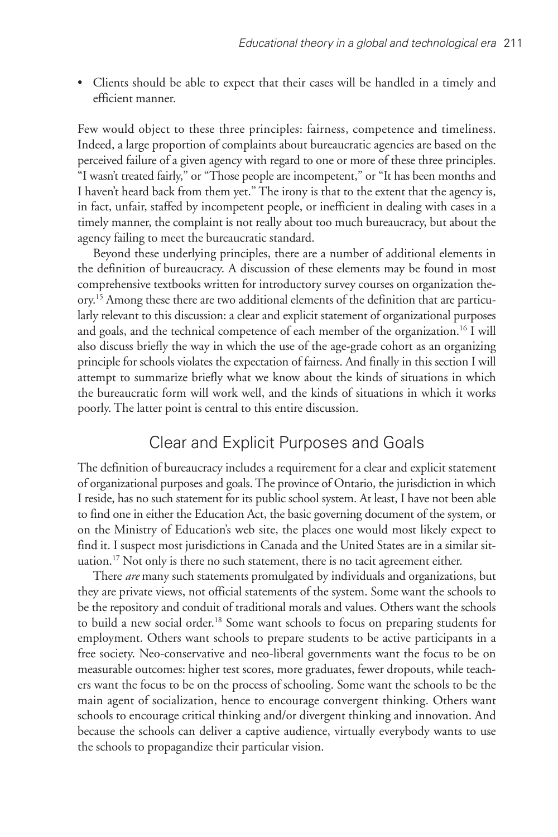• Clients should be able to expect that their cases will be handled in a timely and efficient manner.

Few would object to these three principles: fairness, competence and timeliness. Indeed, a large proportion of complaints about bureaucratic agencies are based on the perceived failure of a given agency with regard to one or more of these three principles. "I wasn't treated fairly," or "Those people are incompetent," or "It has been months and I haven't heard back from them yet." The irony is that to the extent that the agency is, in fact, unfair, staffed by incompetent people, or inefficient in dealing with cases in a timely manner, the complaint is not really about too much bureaucracy, but about the agency failing to meet the bureaucratic standard.

Beyond these underlying principles, there are a number of additional elements in the definition of bureaucracy. A discussion of these elements may be found in most comprehensive textbooks written for introductory survey courses on organization theory. <sup>15</sup> Among these there are two additional elements of the definition that are particularly relevant to this discussion: a clear and explicit statement of organizational purposes and goals, and the technical competence of each member of the organization. <sup>16</sup> I will also discuss briefly the way in which the use of the age-grade cohort as an organizing principle for schools violates the expectation of fairness. And finally in this section I will attempt to summarize briefly what we know about the kinds of situations in which the bureaucratic form will work well, and the kinds of situations in which it works poorly. The latter point is central to this entire discussion.

#### Clear and Explicit Purposes and Goals

The definition of bureaucracy includes a requirement for a clear and explicit statement of organizational purposes and goals.The province of Ontario, the jurisdiction in which I reside, has no such statement for its public school system. At least, I have not been able to find one in either the Education Act, the basic governing document of the system, or on the Ministry of Education's web site, the places one would most likely expect to find it. I suspect most jurisdictions in Canada and the United States are in a similar situation. <sup>17</sup> Not only is there no such statement, there is no tacit agreement either.

There *are* many such statements promulgated by individuals and organizations, but they are private views, not official statements of the system. Some want the schools to be the repository and conduit of traditional morals and values. Others want the schools to build a new social order. <sup>18</sup> Some want schools to focus on preparing students for employment. Others want schools to prepare students to be active participants in a free society. Neo-conservative and neo-liberal governments want the focus to be on measurable outcomes: higher test scores, more graduates, fewer dropouts, while teachers want the focus to be on the process of schooling. Some want the schools to be the main agent of socialization, hence to encourage convergent thinking. Others want schools to encourage critical thinking and/or divergent thinking and innovation. And because the schools can deliver a captive audience, virtually everybody wants to use the schools to propagandize their particular vision.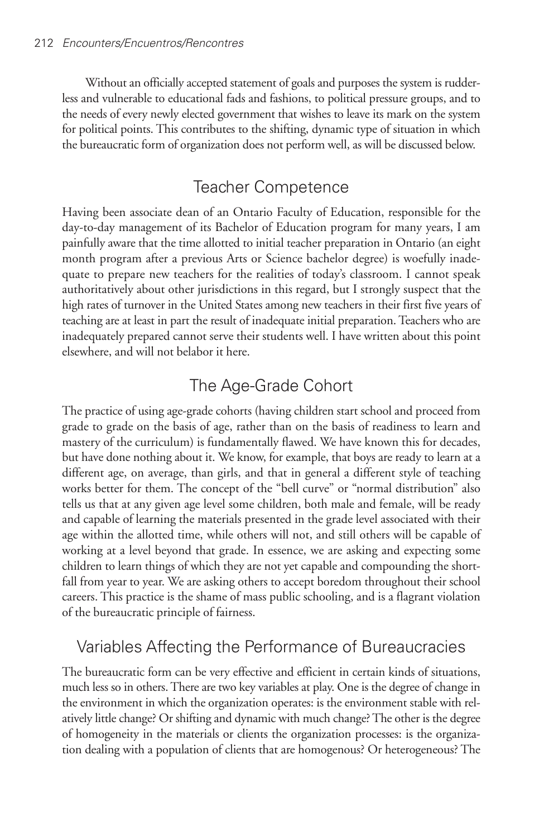Without an officially accepted statement of goals and purposes the system is rudderless and vulnerable to educational fads and fashions, to political pressure groups, and to the needs of every newly elected government that wishes to leave its mark on the system for political points. This contributes to the shifting, dynamic type of situation in which the bureaucratic form of organization does not perform well, as will be discussed below.

# Teacher Competence

Having been associate dean of an Ontario Faculty of Education, responsible for the day-to-day management of its Bachelor of Education program for many years, I am painfully aware that the time allotted to initial teacher preparation in Ontario (an eight month program after a previous Arts or Science bachelor degree) is woefully inadequate to prepare new teachers for the realities of today's classroom. I cannot speak authoritatively about other jurisdictions in this regard, but I strongly suspect that the high rates of turnover in the United States among new teachers in their first five years of teaching are at least in part the result of inadequate initial preparation. Teachers who are inadequately prepared cannot serve their students well. I have written about this point elsewhere, and will not belabor it here.

# The Age-Grade Cohort

The practice of using age-grade cohorts (having children start school and proceed from grade to grade on the basis of age, rather than on the basis of readiness to learn and mastery of the curriculum) is fundamentally flawed. We have known this for decades, but have done nothing about it. We know, for example, that boys are ready to learn at a different age, on average, than girls, and that in general a different style of teaching works better for them. The concept of the "bell curve" or "normal distribution" also tells us that at any given age level some children, both male and female, will be ready and capable of learning the materials presented in the grade level associated with their age within the allotted time, while others will not, and still others will be capable of working at a level beyond that grade. In essence, we are asking and expecting some children to learn things of which they are not yet capable and compounding the shortfall from year to year. We are asking others to accept boredom throughout their school careers. This practice is the shame of mass public schooling, and is a flagrant violation of the bureaucratic principle of fairness.

# Variables Affecting the Performance of Bureaucracies

The bureaucratic form can be very effective and efficient in certain kinds of situations, much less so in others.There are two key variables at play. One is the degree of change in the environment in which the organization operates: is the environment stable with relatively little change? Or shifting and dynamic with much change?The other is the degree of homogeneity in the materials or clients the organization processes: is the organization dealing with a population of clients that are homogenous? Or heterogeneous? The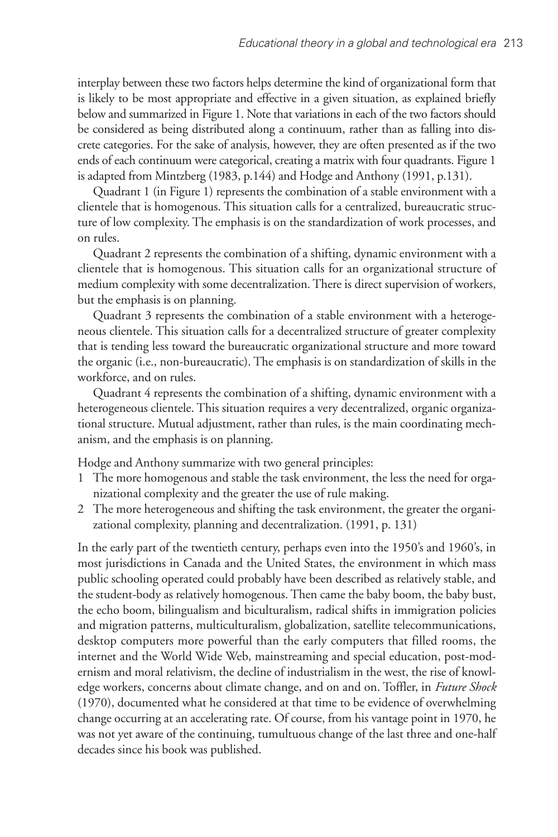interplay between these two factors helps determine the kind of organizational form that is likely to be most appropriate and effective in a given situation, as explained briefly below and summarized in Figure 1. Note that variations in each of the two factors should be considered as being distributed along a continuum, rather than as falling into discrete categories. For the sake of analysis, however, they are often presented as if the two ends of each continuum were categorical, creating a matrix with four quadrants. Figure 1 is adapted from Mintzberg (1983, p.144) and Hodge and Anthony (1991, p.131).

Quadrant 1 (in Figure 1) represents the combination of a stable environment with a clientele that is homogenous. This situation calls for a centralized, bureaucratic structure of low complexity. The emphasis is on the standardization of work processes, and on rules.

Quadrant 2 represents the combination of a shifting, dynamic environment with a clientele that is homogenous. This situation calls for an organizational structure of medium complexity with some decentralization. There is direct supervision of workers, but the emphasis is on planning.

Quadrant 3 represents the combination of a stable environment with a heterogeneous clientele. This situation calls for a decentralized structure of greater complexity that is tending less toward the bureaucratic organizational structure and more toward the organic (i.e., non-bureaucratic). The emphasis is on standardization of skills in the workforce, and on rules.

Quadrant 4 represents the combination of a shifting, dynamic environment with a heterogeneous clientele. This situation requires a very decentralized, organic organizational structure. Mutual adjustment, rather than rules, is the main coordinating mechanism, and the emphasis is on planning.

Hodge and Anthony summarize with two general principles:

- 1 The more homogenous and stable the task environment, the less the need for organizational complexity and the greater the use of rule making.
- 2 The more heterogeneous and shifting the task environment, the greater the organizational complexity, planning and decentralization. (1991, p. 131)

In the early part of the twentieth century, perhaps even into the 1950's and 1960's, in most jurisdictions in Canada and the United States, the environment in which mass public schooling operated could probably have been described as relatively stable, and the student-body as relatively homogenous. Then came the baby boom, the baby bust, the echo boom, bilingualism and biculturalism, radical shifts in immigration policies and migration patterns, multiculturalism, globalization, satellite telecommunications, desktop computers more powerful than the early computers that filled rooms, the internet and the World Wide Web, mainstreaming and special education, post-modernism and moral relativism, the decline of industrialism in the west, the rise of knowledge workers, concerns about climate change, and on and on. Toffler, in *Future Shock* (1970), documented what he considered at that time to be evidence of overwhelming change occurring at an accelerating rate. Of course, from his vantage point in 1970, he was not yet aware of the continuing, tumultuous change of the last three and one-half decades since his book was published.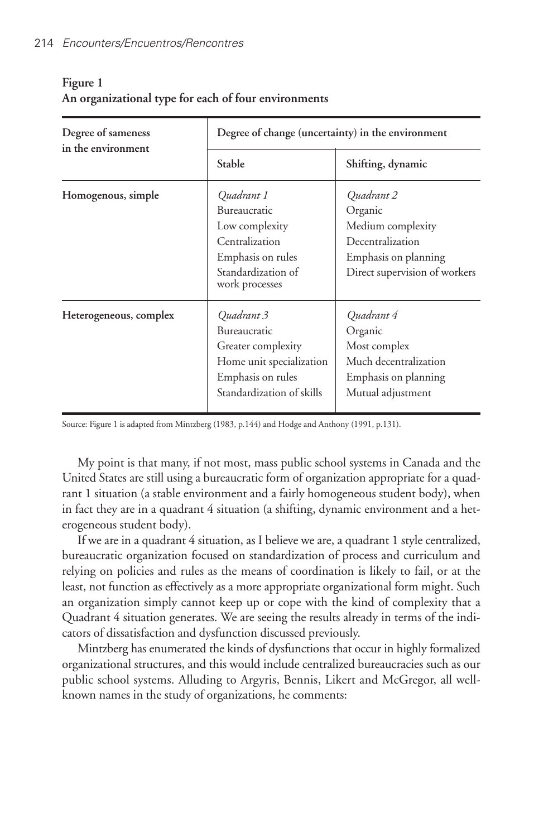| Degree of sameness<br>in the environment | Degree of change (uncertainty) in the environment                                                                              |                                                                                                                         |
|------------------------------------------|--------------------------------------------------------------------------------------------------------------------------------|-------------------------------------------------------------------------------------------------------------------------|
|                                          | Stable                                                                                                                         | Shifting, dynamic                                                                                                       |
| Homogenous, simple                       | Quadrant 1<br>Bureaucratic<br>Low complexity<br>Centralization<br>Emphasis on rules<br>Standardization of<br>work processes    | Ouadrant 2<br>Organic<br>Medium complexity<br>Decentralization<br>Emphasis on planning<br>Direct supervision of workers |
| Heterogeneous, complex                   | Quadrant 3<br>Bureaucratic<br>Greater complexity<br>Home unit specialization<br>Emphasis on rules<br>Standardization of skills | Quadrant 4<br>Organic<br>Most complex<br>Much decentralization<br>Emphasis on planning<br>Mutual adjustment             |

#### **Figure 1 An organizational type for each of four environments**

Source: Figure 1 is adapted from Mintzberg (1983, p.144) and Hodge and Anthony (1991, p.131).

My point is that many, if not most, mass public school systems in Canada and the United States are still using a bureaucratic form of organization appropriate for a quadrant 1 situation (a stable environment and a fairly homogeneous student body), when in fact they are in a quadrant 4 situation (a shifting, dynamic environment and a heterogeneous student body).

If we are in a quadrant 4 situation, as I believe we are, a quadrant 1 style centralized, bureaucratic organization focused on standardization of process and curriculum and relying on policies and rules as the means of coordination is likely to fail, or at the least, not function as effectively as a more appropriate organizational form might. Such an organization simply cannot keep up or cope with the kind of complexity that a Quadrant 4 situation generates. We are seeing the results already in terms of the indicators of dissatisfaction and dysfunction discussed previously.

Mintzberg has enumerated the kinds of dysfunctions that occur in highly formalized organizational structures, and this would include centralized bureaucracies such as our public school systems. Alluding to Argyris, Bennis, Likert and McGregor, all wellknown names in the study of organizations, he comments: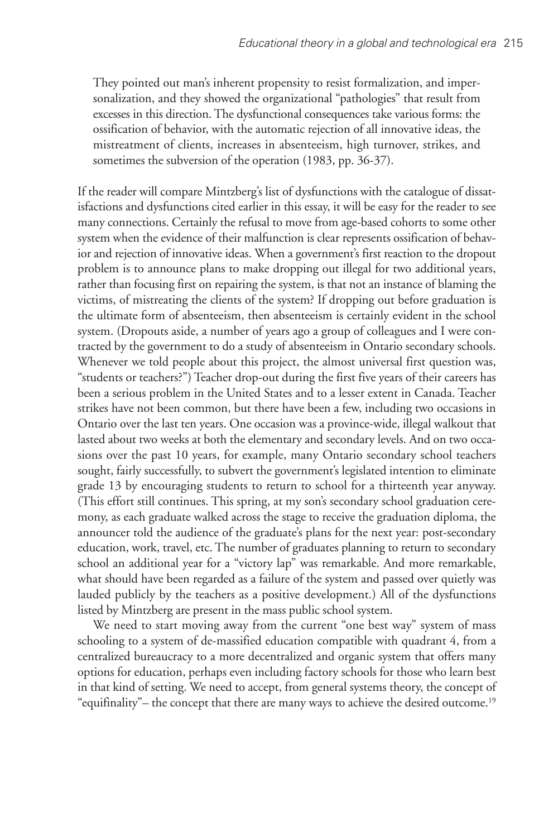They pointed out man's inherent propensity to resist formalization, and impersonalization, and they showed the organizational "pathologies" that result from excesses in this direction. The dysfunctional consequences take various forms: the ossification of behavior, with the automatic rejection of all innovative ideas, the mistreatment of clients, increases in absenteeism, high turnover, strikes, and sometimes the subversion of the operation (1983, pp. 36-37).

If the reader will compare Mintzberg's list of dysfunctions with the catalogue of dissatisfactions and dysfunctions cited earlier in this essay, it will be easy for the reader to see many connections. Certainly the refusal to move from age-based cohorts to some other system when the evidence of their malfunction is clear represents ossification of behavior and rejection of innovative ideas. When a government's first reaction to the dropout problem is to announce plans to make dropping out illegal for two additional years, rather than focusing first on repairing the system, is that not an instance of blaming the victims, of mistreating the clients of the system? If dropping out before graduation is the ultimate form of absenteeism, then absenteeism is certainly evident in the school system. (Dropouts aside, a number of years ago a group of colleagues and I were contracted by the government to do a study of absenteeism in Ontario secondary schools. Whenever we told people about this project, the almost universal first question was, "students or teachers?") Teacher drop-out during the first five years of their careers has been a serious problem in the United States and to a lesser extent in Canada. Teacher strikes have not been common, but there have been a few, including two occasions in Ontario over the last ten years. One occasion was a province-wide, illegal walkout that lasted about two weeks at both the elementary and secondary levels. And on two occasions over the past 10 years, for example, many Ontario secondary school teachers sought, fairly successfully, to subvert the government's legislated intention to eliminate grade 13 by encouraging students to return to school for a thirteenth year anyway. (This effort still continues. This spring, at my son's secondary school graduation ceremony, as each graduate walked across the stage to receive the graduation diploma, the announcer told the audience of the graduate's plans for the next year: post-secondary education, work, travel, etc. The number of graduates planning to return to secondary school an additional year for a "victory lap" was remarkable. And more remarkable, what should have been regarded as a failure of the system and passed over quietly was lauded publicly by the teachers as a positive development.) All of the dysfunctions listed by Mintzberg are present in the mass public school system.

We need to start moving away from the current "one best way" system of mass schooling to a system of de-massified education compatible with quadrant 4, from a centralized bureaucracy to a more decentralized and organic system that offers many options for education, perhaps even including factory schools for those who learn best in that kind of setting. We need to accept, from general systems theory, the concept of "equifinality"– the concept that there are many ways to achieve the desired outcome. 19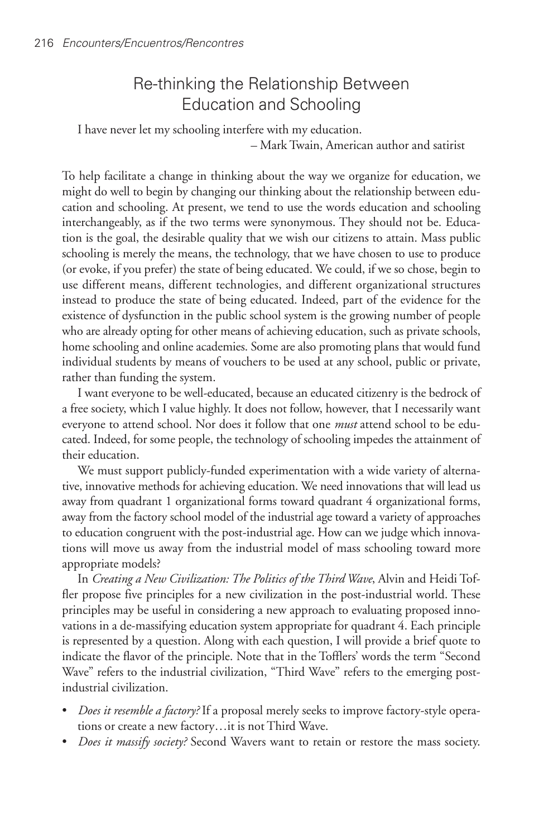## Re-thinking the Relationship Between Education and Schooling

I have never let my schooling interfere with my education. – Mark Twain, American author and satirist

To help facilitate a change in thinking about the way we organize for education, we might do well to begin by changing our thinking about the relationship between education and schooling. At present, we tend to use the words education and schooling interchangeably, as if the two terms were synonymous. They should not be. Education is the goal, the desirable quality that we wish our citizens to attain. Mass public schooling is merely the means, the technology, that we have chosen to use to produce (or evoke, if you prefer) the state of being educated. We could, if we so chose, begin to use different means, different technologies, and different organizational structures instead to produce the state of being educated. Indeed, part of the evidence for the existence of dysfunction in the public school system is the growing number of people who are already opting for other means of achieving education, such as private schools, home schooling and online academies. Some are also promoting plans that would fund individual students by means of vouchers to be used at any school, public or private, rather than funding the system.

I want everyone to be well-educated, because an educated citizenry is the bedrock of a free society, which I value highly. It does not follow, however, that I necessarily want everyone to attend school. Nor does it follow that one *must* attend school to be educated. Indeed, for some people, the technology of schooling impedes the attainment of their education.

We must support publicly-funded experimentation with a wide variety of alternative, innovative methods for achieving education. We need innovations that will lead us away from quadrant 1 organizational forms toward quadrant 4 organizational forms, away from the factory school model of the industrial age toward a variety of approaches to education congruent with the post-industrial age. How can we judge which innovations will move us away from the industrial model of mass schooling toward more appropriate models?

In *Creating a New Civilization: The Politics of the Third Wave*, Alvin and Heidi Toffler propose five principles for a new civilization in the post-industrial world. These principles may be useful in considering a new approach to evaluating proposed innovations in a de-massifying education system appropriate for quadrant 4. Each principle is represented by a question. Along with each question, I will provide a brief quote to indicate the flavor of the principle. Note that in the Tofflers' words the term "Second Wave" refers to the industrial civilization, "Third Wave" refers to the emerging postindustrial civilization.

- *Does it resemble a factory?* If a proposal merely seeks to improve factory-style operations or create a new factory…it is not Third Wave.
- *Does it massify society?* Second Wavers want to retain or restore the mass society.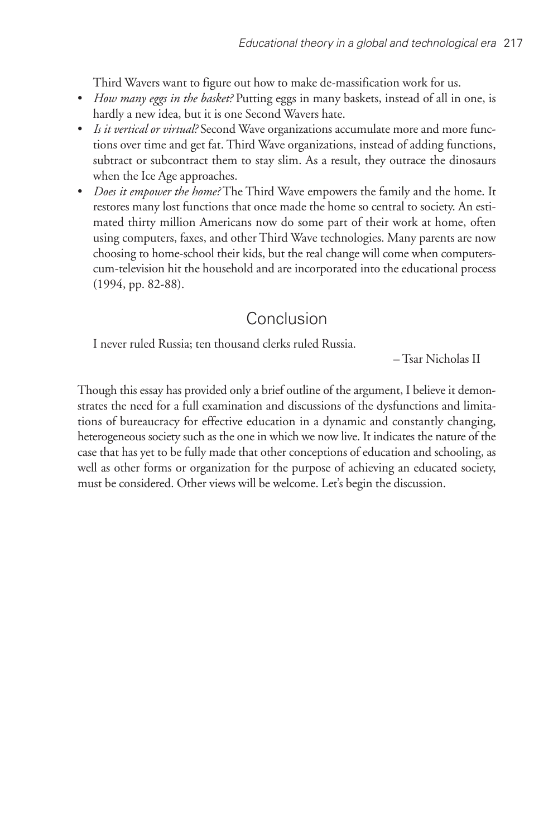Third Wavers want to figure out how to make de-massification work for us.

- *How many eggs in the basket?* Putting eggs in many baskets, instead of all in one, is hardly a new idea, but it is one Second Wavers hate.
- *Is it vertical or virtual?* Second Wave organizations accumulate more and more functions over time and get fat. Third Wave organizations, instead of adding functions, subtract or subcontract them to stay slim. As a result, they outrace the dinosaurs when the Ice Age approaches.
- *Does it empower the home?* The Third Wave empowers the family and the home. It restores many lost functions that once made the home so central to society. An estimated thirty million Americans now do some part of their work at home, often using computers, faxes, and other Third Wave technologies. Many parents are now choosing to home-school their kids, but the real change will come when computerscum-television hit the household and are incorporated into the educational process (1994, pp. 82-88).

# Conclusion

I never ruled Russia; ten thousand clerks ruled Russia.

– Tsar Nicholas II

Though this essay has provided only a brief outline of the argument, I believe it demonstrates the need for a full examination and discussions of the dysfunctions and limitations of bureaucracy for effective education in a dynamic and constantly changing, heterogeneous society such as the one in which we now live. It indicates the nature of the case that has yet to be fully made that other conceptions of education and schooling, as well as other forms or organization for the purpose of achieving an educated society, must be considered. Other views will be welcome. Let's begin the discussion.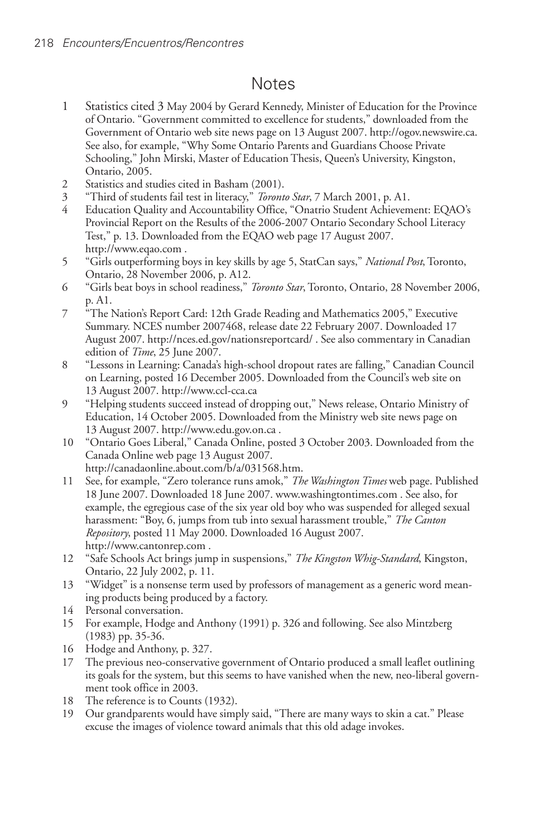### Notes

- 1 Statistics cited 3 May 2004 by Gerard Kennedy, Minister of Education for the Province of Ontario. "Government committed to excellence for students," downloaded from the Government of Ontario web site news page on 13 August 2007. http://ogov.newswire.ca. See also, for example, "Why Some Ontario Parents and Guardians Choose Private Schooling," John Mirski, Master of Education Thesis, Queen's University, Kingston, Ontario, 2005.
- 2 Statistics and studies cited in Basham (2001).<br>3 "Third of students fail test in literacy," Toront.
- 3 "Third of students fail test in literacy," *Toronto Star*, 7 March 2001, p. A1.
- 4 Education Quality and Accountability Office, "Onatrio Student Achievement: EQAO's Provincial Report on the Results of the 2006-2007 Ontario Secondary School Literacy Test," p. 13. Downloaded from the EQAO web page 17 August 2007. http://www.eqao.com .
- 5 "Girls outperforming boys in key skills by age 5, StatCan says," *National Post*, Toronto, Ontario, 28 November 2006, p. A12.
- 6 "Girls beat boys in school readiness," *Toronto Star*, Toronto, Ontario, 28 November 2006, p. A1.
- 7 "The Nation's Report Card: 12th Grade Reading and Mathematics 2005," Executive Summary. NCES number 2007468, release date 22 February 2007. Downloaded 17 August 2007. http://nces.ed.gov/nationsreportcard/ . See also commentary in Canadian edition of *Time*, 25 June 2007.
- 8 "Lessons in Learning: Canada's high-school dropout rates are falling," Canadian Council on Learning, posted 16 December 2005. Downloaded from the Council's web site on 13 August 2007. http://www.ccl-cca.ca
- 9 "Helping students succeed instead of dropping out," News release, Ontario Ministry of Education, 14 October 2005. Downloaded from the Ministry web site news page on 13 August 2007. http://www.edu.gov.on.ca .
- 10 "Ontario Goes Liberal," Canada Online, posted 3 October 2003. Downloaded from the Canada Online web page 13 August 2007. http://canadaonline.about.com/b/a/031568.htm.
- 11 See, for example, "Zero tolerance runs amok," *The Washington Times* web page. Published 18 June 2007. Downloaded 18 June 2007. www.washingtontimes.com . See also, for example, the egregious case of the six year old boy who was suspended for alleged sexual harassment: "Boy, 6, jumps from tub into sexual harassment trouble," *The Canton Repository*, posted 11 May 2000. Downloaded 16 August 2007. http://www.cantonrep.com .
- 12 "Safe Schools Act brings jump in suspensions," *The Kingston Whig-Standard*, Kingston, Ontario, 22 July 2002, p. 11.
- 13 "Widget" is a nonsense term used by professors of management as a generic word meaning products being produced by a factory.
- 14 Personal conversation.
- 15 For example, Hodge and Anthony (1991) p. 326 and following. See also Mintzberg (1983) pp. 35-36.
- 16 Hodge and Anthony, p. 327.
- 17 The previous neo-conservative government of Ontario produced a small leaflet outlining its goals for the system, but this seems to have vanished when the new, neo-liberal government took office in 2003.
- 18 The reference is to Counts (1932).
- 19 Our grandparents would have simply said, "There are many ways to skin a cat." Please excuse the images of violence toward animals that this old adage invokes.